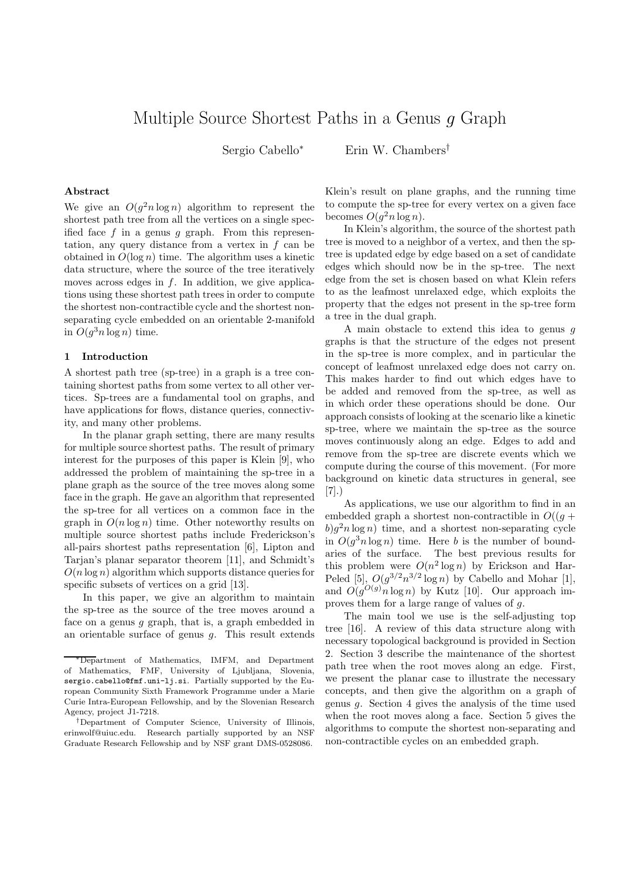# Multiple Source Shortest Paths in a Genus g Graph

Sergio Cabello<sup>∗</sup> Erin W. Chambers†

### Abstract

We give an  $O(g^2 n \log n)$  algorithm to represent the shortest path tree from all the vertices on a single specified face  $f$  in a genus  $g$  graph. From this representation, any query distance from a vertex in  $f$  can be obtained in  $O(\log n)$  time. The algorithm uses a kinetic data structure, where the source of the tree iteratively moves across edges in  $f$ . In addition, we give applications using these shortest path trees in order to compute the shortest non-contractible cycle and the shortest nonseparating cycle embedded on an orientable 2-manifold in  $O(g^3 n \log n)$  time.

#### 1 Introduction

A shortest path tree (sp-tree) in a graph is a tree containing shortest paths from some vertex to all other vertices. Sp-trees are a fundamental tool on graphs, and have applications for flows, distance queries, connectivity, and many other problems.

In the planar graph setting, there are many results for multiple source shortest paths. The result of primary interest for the purposes of this paper is Klein [9], who addressed the problem of maintaining the sp-tree in a plane graph as the source of the tree moves along some face in the graph. He gave an algorithm that represented the sp-tree for all vertices on a common face in the graph in  $O(n \log n)$  time. Other noteworthy results on multiple source shortest paths include Frederickson's all-pairs shortest paths representation [6], Lipton and Tarjan's planar separator theorem [11], and Schmidt's  $O(n \log n)$  algorithm which supports distance queries for specific subsets of vertices on a grid [13].

In this paper, we give an algorithm to maintain the sp-tree as the source of the tree moves around a face on a genus  $g$  graph, that is, a graph embedded in an orientable surface of genus  $q$ . This result extends Klein's result on plane graphs, and the running time to compute the sp-tree for every vertex on a given face becomes  $O(g^2 n \log n)$ .

In Klein's algorithm, the source of the shortest path tree is moved to a neighbor of a vertex, and then the sptree is updated edge by edge based on a set of candidate edges which should now be in the sp-tree. The next edge from the set is chosen based on what Klein refers to as the leafmost unrelaxed edge, which exploits the property that the edges not present in the sp-tree form a tree in the dual graph.

A main obstacle to extend this idea to genus g graphs is that the structure of the edges not present in the sp-tree is more complex, and in particular the concept of leafmost unrelaxed edge does not carry on. This makes harder to find out which edges have to be added and removed from the sp-tree, as well as in which order these operations should be done. Our approach consists of looking at the scenario like a kinetic sp-tree, where we maintain the sp-tree as the source moves continuously along an edge. Edges to add and remove from the sp-tree are discrete events which we compute during the course of this movement. (For more background on kinetic data structures in general, see [7].)

As applications, we use our algorithm to find in an embedded graph a shortest non-contractible in  $O((q +$  $b)g<sup>2</sup>n \log n$ ) time, and a shortest non-separating cycle in  $O(g^3 n \log n)$  time. Here b is the number of boundaries of the surface. The best previous results for this problem were  $O(n^2 \log n)$  by Erickson and Har-Peled [5],  $O(g^{3/2}n^{3/2}\log n)$  by Cabello and Mohar [1], and  $O(g^{O(g)} n \log n)$  by Kutz [10]. Our approach improves them for a large range of values of g.

The main tool we use is the self-adjusting top tree [16]. A review of this data structure along with necessary topological background is provided in Section 2. Section 3 describe the maintenance of the shortest path tree when the root moves along an edge. First, we present the planar case to illustrate the necessary concepts, and then give the algorithm on a graph of genus  $q$ . Section 4 gives the analysis of the time used when the root moves along a face. Section 5 gives the algorithms to compute the shortest non-separating and non-contractible cycles on an embedded graph.

<sup>∗</sup>Department of Mathematics, IMFM, and Department of Mathematics, FMF, University of Ljubljana, Slovenia, sergio.cabello@fmf.uni-lj.si. Partially supported by the European Community Sixth Framework Programme under a Marie Curie Intra-European Fellowship, and by the Slovenian Research Agency, project J1-7218.

<sup>†</sup>Department of Computer Science, University of Illinois, erinwolf@uiuc.edu. Research partially supported by an NSF Graduate Research Fellowship and by NSF grant DMS-0528086.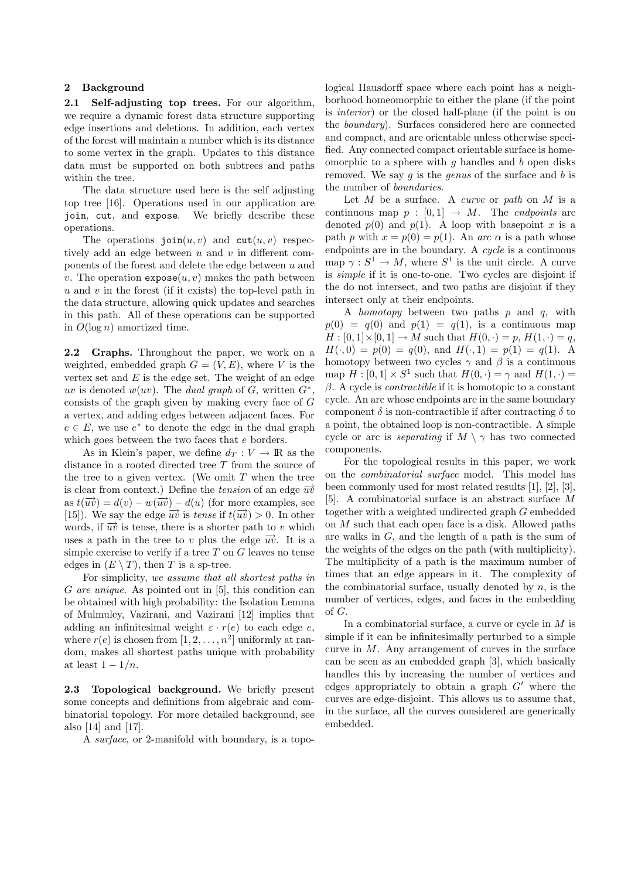## 2 Background

2.1 Self-adjusting top trees. For our algorithm, we require a dynamic forest data structure supporting edge insertions and deletions. In addition, each vertex of the forest will maintain a number which is its distance to some vertex in the graph. Updates to this distance data must be supported on both subtrees and paths within the tree.

The data structure used here is the self adjusting top tree [16]. Operations used in our application are join, cut, and expose. We briefly describe these operations.

The operations  $\text{join}(u, v)$  and  $\text{cut}(u, v)$  respectively add an edge between  $u$  and  $v$  in different components of the forest and delete the edge between  $u$  and v. The operation  $\exp \circ \mathbf{s}(u, v)$  makes the path between u and v in the forest (if it exists) the top-level path in the data structure, allowing quick updates and searches in this path. All of these operations can be supported in  $O(\log n)$  amortized time.

2.2 Graphs. Throughout the paper, we work on a weighted, embedded graph  $G = (V, E)$ , where V is the vertex set and  $E$  is the edge set. The weight of an edge uv is denoted  $w(uv)$ . The dual graph of  $\tilde{G}$ , written  $\tilde{G}^*$ , consists of the graph given by making every face of G a vertex, and adding edges between adjacent faces. For  $e \in E$ , we use  $e^*$  to denote the edge in the dual graph which goes between the two faces that  $e$  borders.

As in Klein's paper, we define  $d_T : V \to \mathbb{R}$  as the distance in a rooted directed tree T from the source of the tree to a given vertex. (We omit  $T$  when the tree is clear from context.) Define the tension of an edge  $\overrightarrow{uv}$ as  $t(\overrightarrow{uv}) = d(v) - w(\overrightarrow{uv}) - d(u)$  (for more examples, see [15]). We say the edge  $\overrightarrow{uv}$  is tense if  $t(\overrightarrow{uv}) > 0$ . In other words, if  $\overrightarrow{uv}$  is tense, there is a shorter path to v which uses a path in the tree to v plus the edge  $\overrightarrow{uv}$ . It is a simple exercise to verify if a tree  $T$  on  $G$  leaves no tense edges in  $(E \setminus T)$ , then T is a sp-tree.

For simplicity, we assume that all shortest paths in G are unique. As pointed out in  $[5]$ , this condition can be obtained with high probability: the Isolation Lemma of Mulmuley, Vazirani, and Vazirani [12] implies that adding an infinitesimal weight  $\varepsilon \cdot r(e)$  to each edge e, where  $r(e)$  is chosen from  $[1, 2, \ldots, n^2]$  uniformly at random, makes all shortest paths unique with probability at least  $1 - 1/n$ .

2.3 Topological background. We briefly present some concepts and definitions from algebraic and combinatorial topology. For more detailed background, see also [14] and [17].

A surface, or 2-manifold with boundary, is a topo-

logical Hausdorff space where each point has a neighborhood homeomorphic to either the plane (if the point is interior) or the closed half-plane (if the point is on the boundary). Surfaces considered here are connected and compact, and are orientable unless otherwise specified. Any connected compact orientable surface is homeomorphic to a sphere with  $g$  handles and  $b$  open disks removed. We say  $g$  is the *genus* of the surface and  $b$  is the number of boundaries.

Let  $M$  be a surface. A *curve* or *path* on  $M$  is a continuous map  $p : [0,1] \rightarrow M$ . The *endpoints* are denoted  $p(0)$  and  $p(1)$ . A loop with basepoint x is a path p with  $x = p(0) = p(1)$ . An arc  $\alpha$  is a path whose endpoints are in the boundary. A *cucle* is a continuous map  $\gamma : S^1 \to M$ , where  $S^1$  is the unit circle. A curve is simple if it is one-to-one. Two cycles are disjoint if the do not intersect, and two paths are disjoint if they intersect only at their endpoints.

A homotopy between two paths  $p$  and  $q$ , with  $p(0) = q(0)$  and  $p(1) = q(1)$ , is a continuous map  $H : [0, 1] \times [0, 1] \to M$  such that  $H(0, \cdot) = p$ ,  $H(1, \cdot) = q$ ,  $H(\cdot, 0) = p(0) = q(0)$ , and  $H(\cdot, 1) = p(1) = q(1)$ . A homotopy between two cycles  $\gamma$  and  $\beta$  is a continuous map  $H : [0,1] \times S^1$  such that  $H(0,\cdot) = \gamma$  and  $H(1,\cdot) =$  $β$ . A cycle is *contractible* if it is homotopic to a constant cycle. An arc whose endpoints are in the same boundary component  $\delta$  is non-contractible if after contracting  $\delta$  to a point, the obtained loop is non-contractible. A simple cycle or arc is separating if  $M \setminus \gamma$  has two connected components.

For the topological results in this paper, we work on the combinatorial surface model. This model has been commonly used for most related results [1], [2], [3], [5]. A combinatorial surface is an abstract surface M together with a weighted undirected graph G embedded on M such that each open face is a disk. Allowed paths are walks in G, and the length of a path is the sum of the weights of the edges on the path (with multiplicity). The multiplicity of a path is the maximum number of times that an edge appears in it. The complexity of the combinatorial surface, usually denoted by  $n$ , is the number of vertices, edges, and faces in the embedding of G.

In a combinatorial surface, a curve or cycle in  $M$  is simple if it can be infinitesimally perturbed to a simple curve in  $M$ . Any arrangement of curves in the surface can be seen as an embedded graph [3], which basically handles this by increasing the number of vertices and edges appropriately to obtain a graph  $G'$  where the curves are edge-disjoint. This allows us to assume that, in the surface, all the curves considered are generically embedded.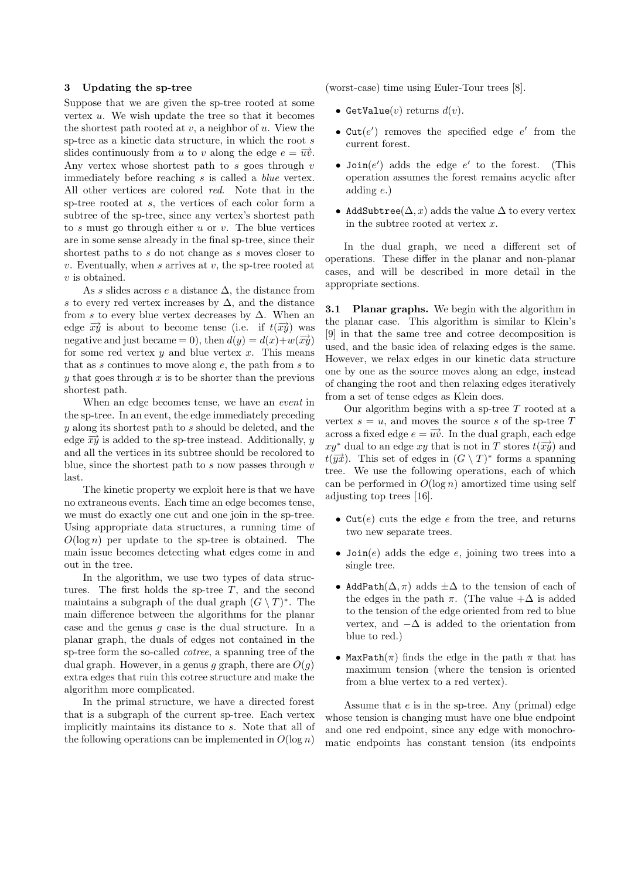### 3 Updating the sp-tree

Suppose that we are given the sp-tree rooted at some vertex  $u$ . We wish update the tree so that it becomes the shortest path rooted at  $v$ , a neighbor of  $u$ . View the sp-tree as a kinetic data structure, in which the root s slides continuously from u to v along the edge  $e = \overrightarrow{uv}$ . Any vertex whose shortest path to  $s$  goes through  $v$ immediately before reaching s is called a blue vertex. All other vertices are colored red. Note that in the sp-tree rooted at s, the vertices of each color form a subtree of the sp-tree, since any vertex's shortest path to s must go through either  $u$  or  $v$ . The blue vertices are in some sense already in the final sp-tree, since their shortest paths to s do not change as s moves closer to  $v$ . Eventually, when s arrives at  $v$ , the sp-tree rooted at v is obtained.

As s slides across e a distance  $\Delta$ , the distance from s to every red vertex increases by  $\Delta$ , and the distance from s to every blue vertex decreases by  $\Delta$ . When an edge  $\overrightarrow{xy}$  is about to become tense (i.e. if  $t(\overrightarrow{xy})$  was negative and just became = 0), then  $d(y) = d(x)+w(\overrightarrow{xy})$ for some red vertex  $y$  and blue vertex  $x$ . This means that as s continues to move along  $e$ , the path from s to  $y$  that goes through  $x$  is to be shorter than the previous shortest path.

When an edge becomes tense, we have an *event* in the sp-tree. In an event, the edge immediately preceding  $y$  along its shortest path to  $s$  should be deleted, and the edge  $\overrightarrow{xy}$  is added to the sp-tree instead. Additionally, y and all the vertices in its subtree should be recolored to blue, since the shortest path to  $s$  now passes through  $v$ last.

The kinetic property we exploit here is that we have no extraneous events. Each time an edge becomes tense, we must do exactly one cut and one join in the sp-tree. Using appropriate data structures, a running time of  $O(\log n)$  per update to the sp-tree is obtained. The main issue becomes detecting what edges come in and out in the tree.

In the algorithm, we use two types of data structures. The first holds the sp-tree  $T$ , and the second maintains a subgraph of the dual graph  $(G \setminus T)^*$ . The main difference between the algorithms for the planar case and the genus  $g$  case is the dual structure. In a planar graph, the duals of edges not contained in the sp-tree form the so-called cotree, a spanning tree of the dual graph. However, in a genus g graph, there are  $O(g)$ extra edges that ruin this cotree structure and make the algorithm more complicated.

In the primal structure, we have a directed forest that is a subgraph of the current sp-tree. Each vertex implicitly maintains its distance to s. Note that all of the following operations can be implemented in  $O(\log n)$ 

(worst-case) time using Euler-Tour trees [8].

- GetValue $(v)$  returns  $d(v)$ .
- Cut( $e'$ ) removes the specified edge  $e'$  from the current forest.
- Join $(e')$  adds the edge  $e'$  to the forest. (This operation assumes the forest remains acyclic after adding e.)
- AddSubtree( $\Delta$ , x) adds the value  $\Delta$  to every vertex in the subtree rooted at vertex  $x$ .

In the dual graph, we need a different set of operations. These differ in the planar and non-planar cases, and will be described in more detail in the appropriate sections.

**3.1 Planar graphs.** We begin with the algorithm in the planar case. This algorithm is similar to Klein's [9] in that the same tree and cotree decomposition is used, and the basic idea of relaxing edges is the same. However, we relax edges in our kinetic data structure one by one as the source moves along an edge, instead of changing the root and then relaxing edges iteratively from a set of tense edges as Klein does.

Our algorithm begins with a sp-tree  $T$  rooted at a vertex  $s = u$ , and moves the source s of the sp-tree T across a fixed edge  $e = \overrightarrow{uv}$ . In the dual graph, each edge  $xy^*$  dual to an edge xy that is not in T stores  $t(\overrightarrow{xy})$  and  $t(\overrightarrow{yx})$ . This set of edges in  $(G \setminus T)^*$  forms a spanning tree. We use the following operations, each of which can be performed in  $O(\log n)$  amortized time using self adjusting top trees [16].

- $Cut(e)$  cuts the edge e from the tree, and returns two new separate trees.
- Join $(e)$  adds the edge  $e$ , joining two trees into a single tree.
- AddPath $(\Delta, \pi)$  adds  $\pm \Delta$  to the tension of each of the edges in the path  $\pi$ . (The value  $+\Delta$  is added to the tension of the edge oriented from red to blue vertex, and  $-\Delta$  is added to the orientation from blue to red.)
- MaxPath( $\pi$ ) finds the edge in the path  $\pi$  that has maximum tension (where the tension is oriented from a blue vertex to a red vertex).

Assume that  $e$  is in the sp-tree. Any (primal) edge whose tension is changing must have one blue endpoint and one red endpoint, since any edge with monochromatic endpoints has constant tension (its endpoints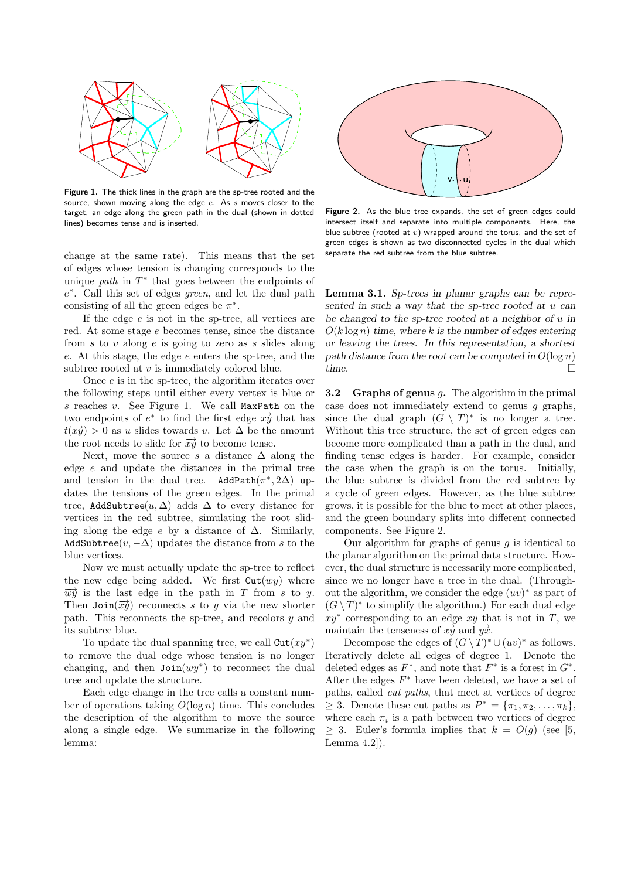

Figure 1. The thick lines in the graph are the sp-tree rooted and the source, shown moving along the edge  $e$ . As  $s$  moves closer to the target, an edge along the green path in the dual (shown in dotted lines) becomes tense and is inserted.

change at the same rate). This means that the set of edges whose tension is changing corresponds to the unique *path* in  $T^*$  that goes between the endpoints of e ∗ . Call this set of edges green, and let the dual path consisting of all the green edges be  $\pi^*$ .

If the edge  $e$  is not in the sp-tree, all vertices are red. At some stage e becomes tense, since the distance from s to v along  $e$  is going to zero as s slides along e. At this stage, the edge e enters the sp-tree, and the subtree rooted at v is immediately colored blue.

Once e is in the sp-tree, the algorithm iterates over the following steps until either every vertex is blue or  $s$  reaches  $v$ . See Figure 1. We call MaxPath on the two endpoints of  $e^*$  to find the first edge  $\overrightarrow{xy}$  that has  $t(\overrightarrow{xy}) > 0$  as u slides towards v. Let  $\Delta$  be the amount the root needs to slide for  $\overrightarrow{xy}$  to become tense.

Next, move the source s a distance  $\Delta$  along the edge e and update the distances in the primal tree and tension in the dual tree. AddPath $(\pi^*, 2\Delta)$  updates the tensions of the green edges. In the primal tree, AddSubtree $(u, \Delta)$  adds  $\Delta$  to every distance for vertices in the red subtree, simulating the root sliding along the edge e by a distance of  $\Delta$ . Similarly, AddSubtree( $v, -\Delta$ ) updates the distance from s to the blue vertices.

Now we must actually update the sp-tree to reflect the new edge being added. We first  $Cut(wy)$  where  $\overrightarrow{wy}$  is the last edge in the path in T from s to y. Then  $\text{Join}(\overrightarrow{xy})$  reconnects s to y via the new shorter path. This reconnects the sp-tree, and recolors  $y$  and its subtree blue.

To update the dual spanning tree, we call  $\text{Cut}(xy^*)$ to remove the dual edge whose tension is no longer changing, and then  $Join(wy^*)$  to reconnect the dual tree and update the structure.

Each edge change in the tree calls a constant number of operations taking  $O(\log n)$  time. This concludes the description of the algorithm to move the source along a single edge. We summarize in the following lemma:



Figure 2. As the blue tree expands, the set of green edges could intersect itself and separate into multiple components. Here, the blue subtree (rooted at  $v$ ) wrapped around the torus, and the set of green edges is shown as two disconnected cycles in the dual which separate the red subtree from the blue subtree.

Lemma 3.1. Sp-trees in planar graphs can be represented in such a way that the sp-tree rooted at u can be changed to the sp-tree rooted at a neighbor of u in  $O(k \log n)$  time, where k is the number of edges entering or leaving the trees. In this representation, a shortest path distance from the root can be computed in  $O(\log n)$ time.  $\Box$ 

**3.2** Graphs of genus  $g$ . The algorithm in the primal case does not immediately extend to genus  $g$  graphs, since the dual graph  $(G \setminus T)^*$  is no longer a tree. Without this tree structure, the set of green edges can become more complicated than a path in the dual, and finding tense edges is harder. For example, consider the case when the graph is on the torus. Initially, the blue subtree is divided from the red subtree by a cycle of green edges. However, as the blue subtree grows, it is possible for the blue to meet at other places, and the green boundary splits into different connected components. See Figure 2.

Our algorithm for graphs of genus  $q$  is identical to the planar algorithm on the primal data structure. However, the dual structure is necessarily more complicated, since we no longer have a tree in the dual. (Throughout the algorithm, we consider the edge  $(uv)^*$  as part of  $(G \setminus T)^*$  to simplify the algorithm.) For each dual edge  $xy^*$  corresponding to an edge xy that is not in T, we maintain the tenseness of  $\overrightarrow{xy}$  and  $\overrightarrow{yx}$ .

Decompose the edges of  $(G \setminus T)^* \cup (uv)^*$  as follows. Iteratively delete all edges of degree 1. Denote the deleted edges as  $F^*$ , and note that  $F^*$  is a forest in  $G^*$ . After the edges  $F^*$  have been deleted, we have a set of paths, called cut paths, that meet at vertices of degree  $\geq 3$ . Denote these cut paths as  $P^* = {\pi_1, \pi_2, \ldots, \pi_k}$ , where each  $\pi_i$  is a path between two vertices of degree  $\geq$  3. Euler's formula implies that  $k = O(q)$  (see [5, Lemma 4.2]).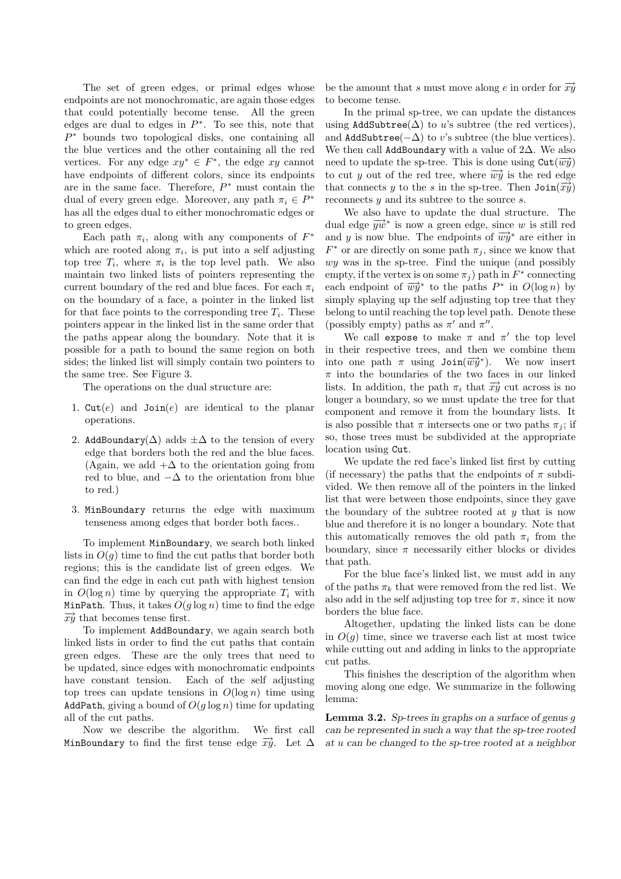The set of green edges, or primal edges whose endpoints are not monochromatic, are again those edges that could potentially become tense. All the green edges are dual to edges in  $P^*$ . To see this, note that  $P^*$  bounds two topological disks, one containing all the blue vertices and the other containing all the red vertices. For any edge  $xy^* \in F^*$ , the edge  $xy$  cannot have endpoints of different colors, since its endpoints are in the same face. Therefore,  $P^*$  must contain the dual of every green edge. Moreover, any path  $\pi_i \in P^*$ has all the edges dual to either monochromatic edges or to green edges.

Each path  $\pi_i$ , along with any components of  $F^*$ which are rooted along  $\pi_i$ , is put into a self adjusting top tree  $T_i$ , where  $\pi_i$  is the top level path. We also maintain two linked lists of pointers representing the current boundary of the red and blue faces. For each  $\pi_i$ on the boundary of a face, a pointer in the linked list for that face points to the corresponding tree  $T_i$ . These pointers appear in the linked list in the same order that the paths appear along the boundary. Note that it is possible for a path to bound the same region on both sides; the linked list will simply contain two pointers to the same tree. See Figure 3.

The operations on the dual structure are:

- 1.  $\text{Cut}(e)$  and  $\text{Join}(e)$  are identical to the planar operations.
- 2. AddBoundary( $\Delta$ ) adds  $\pm \Delta$  to the tension of every edge that borders both the red and the blue faces. (Again, we add  $+\Delta$  to the orientation going from red to blue, and  $-\Delta$  to the orientation from blue to red.)
- 3. MinBoundary returns the edge with maximum tenseness among edges that border both faces..

To implement MinBoundary, we search both linked lists in  $O(q)$  time to find the cut paths that border both regions; this is the candidate list of green edges. We can find the edge in each cut path with highest tension in  $O(\log n)$  time by querying the appropriate  $T_i$  with MinPath. Thus, it takes  $O(g \log n)$  time to find the edge  $\overrightarrow{xy}$  that becomes tense first.

To implement AddBoundary, we again search both linked lists in order to find the cut paths that contain green edges. These are the only trees that need to be updated, since edges with monochromatic endpoints have constant tension. Each of the self adjusting top trees can update tensions in  $O(\log n)$  time using AddPath, giving a bound of  $O(q \log n)$  time for updating all of the cut paths.

Now we describe the algorithm. We first call MinBoundary to find the first tense edge  $\overrightarrow{xy}$ . Let  $\Delta$  be the amount that s must move along e in order for  $\overrightarrow{xy}$ to become tense.

In the primal sp-tree, we can update the distances using AddSubtree( $\Delta$ ) to u's subtree (the red vertices), and AddSubtree( $-\Delta$ ) to v's subtree (the blue vertices). We then call AddBoundary with a value of 2∆. We also need to update the sp-tree. This is done using  $\text{Cut}(\overrightarrow{wy})$ to cut y out of the red tree, where  $\overrightarrow{wy}$  is the red edge that connects y to the s in the sp-tree. Then  $\text{Join}(\overrightarrow{xy})$ reconnects  $y$  and its subtree to the source  $s$ .

We also have to update the dual structure. The dual edge  $\overrightarrow{yw}^*$  is now a green edge, since w is still red and y is now blue. The endpoints of  $\overrightarrow{wy}^*$  are either in  $F^*$  or are directly on some path  $\pi_j$ , since we know that wy was in the sp-tree. Find the unique (and possibly empty, if the vertex is on some  $\pi_j$ ) path in  $F^*$  connecting each endpoint of  $\overrightarrow{wy}^*$  to the paths  $P^*$  in  $O(\log n)$  by simply splaying up the self adjusting top tree that they belong to until reaching the top level path. Denote these (possibly empty) paths as  $\pi'$  and  $\pi''$ .

We call expose to make  $\pi$  and  $\pi'$  the top level in their respective trees, and then we combine them into one path  $\pi$  using  $\text{Join}(\overrightarrow{wy}^*)$ . We now insert  $\pi$  into the boundaries of the two faces in our linked lists. In addition, the path  $\pi_i$  that  $\overrightarrow{xy}$  cut across is no longer a boundary, so we must update the tree for that component and remove it from the boundary lists. It is also possible that  $\pi$  intersects one or two paths  $\pi_i$ ; if so, those trees must be subdivided at the appropriate location using Cut.

We update the red face's linked list first by cutting (if necessary) the paths that the endpoints of  $\pi$  subdivided. We then remove all of the pointers in the linked list that were between those endpoints, since they gave the boundary of the subtree rooted at  $y$  that is now blue and therefore it is no longer a boundary. Note that this automatically removes the old path  $\pi_i$  from the boundary, since  $\pi$  necessarily either blocks or divides that path.

For the blue face's linked list, we must add in any of the paths  $\pi_k$  that were removed from the red list. We also add in the self adjusting top tree for  $\pi$ , since it now borders the blue face.

Altogether, updating the linked lists can be done in  $O(g)$  time, since we traverse each list at most twice while cutting out and adding in links to the appropriate cut paths.

This finishes the description of the algorithm when moving along one edge. We summarize in the following lemma:

Lemma 3.2. Sp-trees in graphs on a surface of genus g can be represented in such a way that the sp-tree rooted at u can be changed to the sp-tree rooted at a neighbor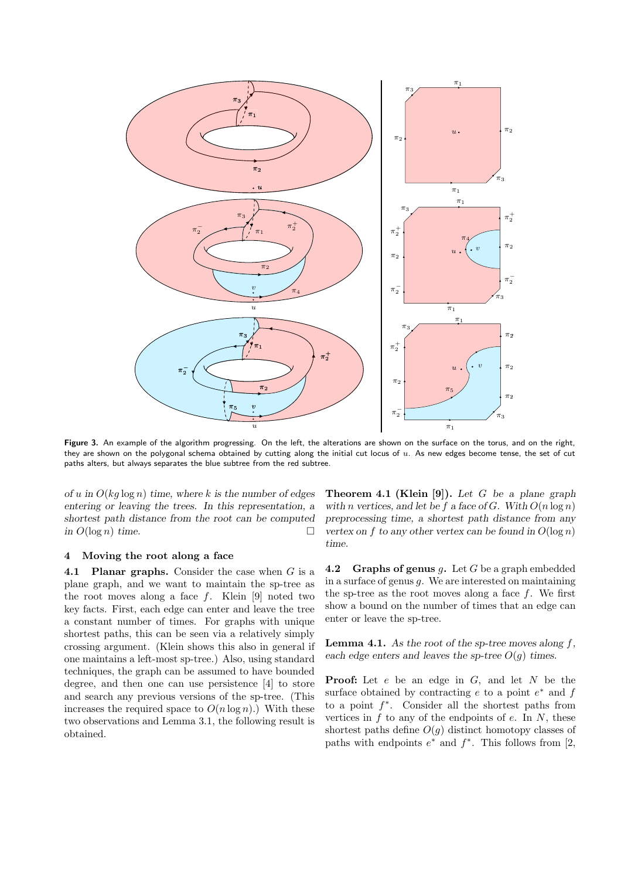

Figure 3. An example of the algorithm progressing. On the left, the alterations are shown on the surface on the torus, and on the right, they are shown on the polygonal schema obtained by cutting along the initial cut locus of  $u$ . As new edges become tense, the set of cut paths alters, but always separates the blue subtree from the red subtree.

of u in  $O(kq \log n)$  time, where k is the number of edges entering or leaving the trees. In this representation, a shortest path distance from the root can be computed in  $O(\log n)$  time.

## 4 Moving the root along a face

4.1 Planar graphs. Consider the case when  $G$  is a plane graph, and we want to maintain the sp-tree as the root moves along a face  $f$ . Klein [9] noted two key facts. First, each edge can enter and leave the tree a constant number of times. For graphs with unique shortest paths, this can be seen via a relatively simply crossing argument. (Klein shows this also in general if one maintains a left-most sp-tree.) Also, using standard techniques, the graph can be assumed to have bounded degree, and then one can use persistence [4] to store and search any previous versions of the sp-tree. (This increases the required space to  $O(n \log n)$ .) With these two observations and Lemma 3.1, the following result is obtained.

**Theorem 4.1 (Klein [9]).** Let G be a plane graph with n vertices, and let be f a face of G. With  $O(n \log n)$ preprocessing time, a shortest path distance from any vertex on f to any other vertex can be found in  $O(\log n)$ time.

**4.2** Graphs of genus  $g$ . Let  $G$  be a graph embedded in a surface of genus  $g$ . We are interested on maintaining the sp-tree as the root moves along a face  $f$ . We first show a bound on the number of times that an edge can enter or leave the sp-tree.

**Lemma 4.1.** As the root of the sp-tree moves along  $f$ , each edge enters and leaves the sp-tree  $O(q)$  times.

**Proof:** Let  $e$  be an edge in  $G$ , and let  $N$  be the surface obtained by contracting  $e$  to a point  $e^*$  and  $f$ to a point  $f^*$ . Consider all the shortest paths from vertices in  $f$  to any of the endpoints of  $e$ . In  $N$ , these shortest paths define  $O(q)$  distinct homotopy classes of paths with endpoints  $e^*$  and  $f^*$ . This follows from [2,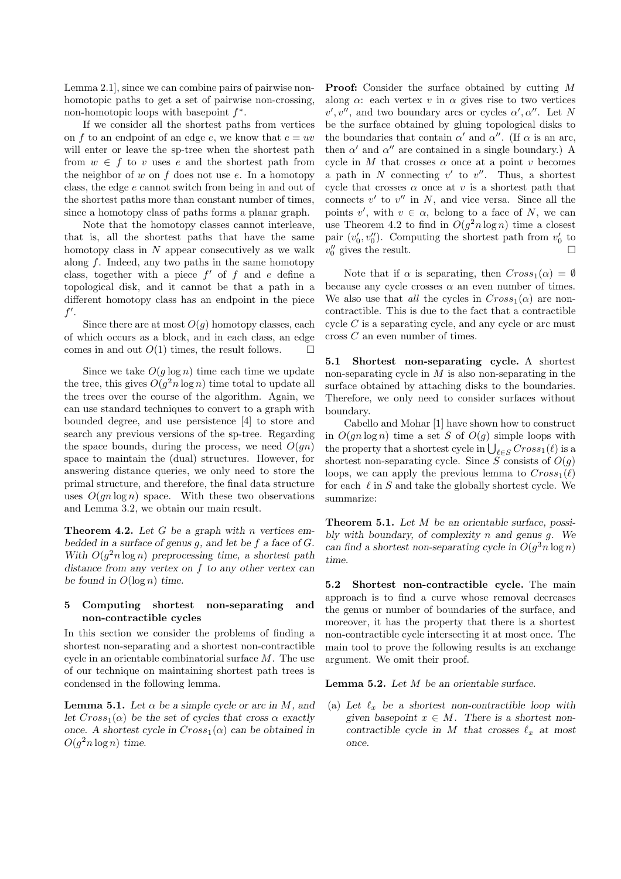Lemma 2.1], since we can combine pairs of pairwise nonhomotopic paths to get a set of pairwise non-crossing, non-homotopic loops with basepoint  $f^*$ .

If we consider all the shortest paths from vertices on f to an endpoint of an edge e, we know that  $e = uv$ will enter or leave the sp-tree when the shortest path from  $w \in f$  to v uses e and the shortest path from the neighbor of  $w$  on  $f$  does not use  $e$ . In a homotopy class, the edge e cannot switch from being in and out of the shortest paths more than constant number of times, since a homotopy class of paths forms a planar graph.

Note that the homotopy classes cannot interleave, that is, all the shortest paths that have the same homotopy class in  $N$  appear consecutively as we walk along  $f$ . Indeed, any two paths in the same homotopy class, together with a piece  $f'$  of  $f$  and  $e$  define a topological disk, and it cannot be that a path in a different homotopy class has an endpoint in the piece  $f'.$ 

Since there are at most  $O(g)$  homotopy classes, each of which occurs as a block, and in each class, an edge comes in and out  $O(1)$  times, the result follows.  $\Box$ 

Since we take  $O(g \log n)$  time each time we update the tree, this gives  $O(g^2 n \log n)$  time total to update all the trees over the course of the algorithm. Again, we can use standard techniques to convert to a graph with bounded degree, and use persistence [4] to store and search any previous versions of the sp-tree. Regarding the space bounds, during the process, we need  $O(gn)$ space to maintain the (dual) structures. However, for answering distance queries, we only need to store the primal structure, and therefore, the final data structure uses  $O(gn \log n)$  space. With these two observations and Lemma 3.2, we obtain our main result.

**Theorem 4.2.** Let  $G$  be a graph with n vertices embedded in a surface of genus  $g$ , and let be  $f$  a face of  $G$ . With  $O(g^2 n \log n)$  preprocessing time, a shortest path distance from any vertex on f to any other vertex can be found in  $O(\log n)$  time.

## 5 Computing shortest non-separating and non-contractible cycles

In this section we consider the problems of finding a shortest non-separating and a shortest non-contractible cycle in an orientable combinatorial surface  $M$ . The use of our technique on maintaining shortest path trees is condensed in the following lemma.

**Lemma 5.1.** Let  $\alpha$  be a simple cycle or arc in M, and let  $Cross_1(\alpha)$  be the set of cycles that cross  $\alpha$  exactly once. A shortest cycle in  $Cross_1(\alpha)$  can be obtained in  $O(g^2 n \log n)$  time.

Proof: Consider the surface obtained by cutting M along  $\alpha$ : each vertex v in  $\alpha$  gives rise to two vertices  $v', v'',$  and two boundary arcs or cycles  $\alpha', \alpha''$ . Let N be the surface obtained by gluing topological disks to the boundaries that contain  $\alpha'$  and  $\alpha''$ . (If  $\alpha$  is an arc, then  $\alpha'$  and  $\alpha''$  are contained in a single boundary.) A cycle in  $M$  that crosses  $\alpha$  once at a point  $v$  becomes a path in  $N$  connecting  $v'$  to  $v''$ . Thus, a shortest cycle that crosses  $\alpha$  once at v is a shortest path that connects  $v'$  to  $v''$  in  $N$ , and vice versa. Since all the points v', with  $v \in \alpha$ , belong to a face of N, we can use Theorem 4.2 to find in  $O(g^2 n \log n)$  time a closest pair  $(v'_0, v''_0)$ . Computing the shortest path from  $v'_0$  to  $v''_0$  gives the result.

Note that if  $\alpha$  is separating, then  $Cross_1(\alpha) = \emptyset$ because any cycle crosses  $\alpha$  an even number of times. We also use that *all* the cycles in  $Cross_1(\alpha)$  are noncontractible. This is due to the fact that a contractible cycle  $C$  is a separating cycle, and any cycle or arc must cross C an even number of times.

5.1 Shortest non-separating cycle. A shortest non-separating cycle in  $M$  is also non-separating in the surface obtained by attaching disks to the boundaries. Therefore, we only need to consider surfaces without boundary.

Cabello and Mohar [1] have shown how to construct in  $O(qn \log n)$  time a set S of  $O(q)$  simple loops with the property that a shortest cycle in  $\bigcup_{\ell \in S} Cross_1(\ell)$  is a shortest non-separating cycle. Since S consists of  $O(g)$ loops, we can apply the previous lemma to  $Cross_1(\ell)$ for each  $\ell$  in S and take the globally shortest cycle. We summarize:

Theorem 5.1. Let M be an orientable surface, possibly with boundary, of complexity  $n$  and genus  $g$ . We can find a shortest non-separating cycle in  $O(g^3 n \log n)$ time.

5.2 Shortest non-contractible cycle. The main approach is to find a curve whose removal decreases the genus or number of boundaries of the surface, and moreover, it has the property that there is a shortest non-contractible cycle intersecting it at most once. The main tool to prove the following results is an exchange argument. We omit their proof.

**Lemma 5.2.** Let  $M$  be an orientable surface.

(a) Let  $\ell_x$  be a shortest non-contractible loop with given basepoint  $x \in M$ . There is a shortest noncontractible cycle in M that crosses  $\ell_x$  at most once.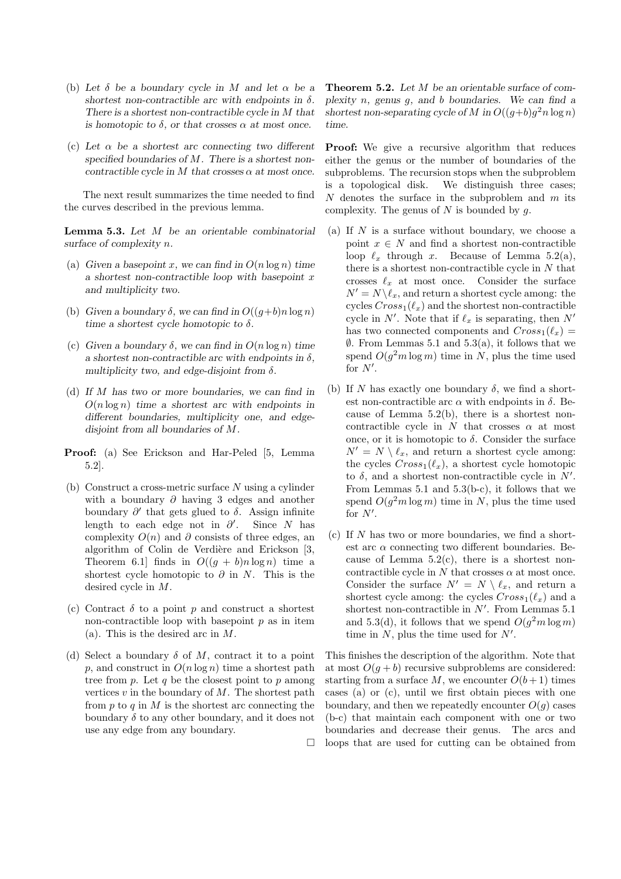- (b) Let  $\delta$  be a boundary cycle in M and let  $\alpha$  be a shortest non-contractible arc with endpoints in  $\delta$ . There is a shortest non-contractible cycle in M that is homotopic to  $\delta$ , or that crosses  $\alpha$  at most once.
- (c) Let  $\alpha$  be a shortest arc connecting two different specified boundaries of  $M$ . There is a shortest noncontractible cycle in M that crosses  $\alpha$  at most once.

The next result summarizes the time needed to find the curves described in the previous lemma.

Lemma 5.3. Let M be an orientable combinatorial surface of complexity n.

- (a) Given a basepoint x, we can find in  $O(n \log n)$  time a shortest non-contractible loop with basepoint x and multiplicity two.
- (b) Given a boundary  $\delta$ , we can find in  $O((g+b)n \log n)$ time a shortest cycle homotopic to  $\delta$ .
- (c) Given a boundary  $\delta$ , we can find in  $O(n \log n)$  time a shortest non-contractible arc with endpoints in  $\delta$ , multiplicity two, and edge-disjoint from  $\delta$ .
- (d) If M has two or more boundaries, we can find in  $O(n \log n)$  time a shortest arc with endpoints in different boundaries, multiplicity one, and edgedisjoint from all boundaries of M.
- Proof: (a) See Erickson and Har-Peled [5, Lemma 5.2].
- (b) Construct a cross-metric surface  $N$  using a cylinder with a boundary  $\partial$  having 3 edges and another boundary  $\partial'$  that gets glued to  $\delta$ . Assign infinite length to each edge not in  $\partial'$ Since N has complexity  $O(n)$  and  $\partial$  consists of three edges, and algorithm of Colin de Verdière and Erickson [3, Theorem 6.1 finds in  $O((q + b)n \log n)$  time a shortest cycle homotopic to  $\partial$  in N. This is the desired cycle in M.
- (c) Contract  $\delta$  to a point p and construct a shortest non-contractible loop with basepoint  $p$  as in item (a). This is the desired arc in  $M$ .
- (d) Select a boundary  $\delta$  of M, contract it to a point p, and construct in  $O(n \log n)$  time a shortest path tree from  $p$ . Let  $q$  be the closest point to  $p$  among vertices  $v$  in the boundary of  $M$ . The shortest path from  $p$  to  $q$  in  $M$  is the shortest arc connecting the boundary  $\delta$  to any other boundary, and it does not use any edge from any boundary.

 $\Box$ 

Theorem 5.2. Let M be an orientable surface of complexity  $n$ , genus  $g$ , and  $b$  boundaries. We can find a shortest non-separating cycle of M in  $O((g+b)g^2 n \log n)$ time.

Proof: We give a recursive algorithm that reduces either the genus or the number of boundaries of the subproblems. The recursion stops when the subproblem is a topological disk. We distinguish three cases;  $N$  denotes the surface in the subproblem and  $m$  its complexity. The genus of  $N$  is bounded by  $q$ .

- (a) If  $N$  is a surface without boundary, we choose a point  $x \in N$  and find a shortest non-contractible loop  $\ell_x$  through x. Because of Lemma 5.2(a), there is a shortest non-contractible cycle in  $N$  that crosses  $\ell_x$  at most once. Consider the surface  $N' = N \backslash \ell_x$ , and return a shortest cycle among: the cycles  $Cross_1(\ell_x)$  and the shortest non-contractible cycle in N'. Note that if  $\ell_x$  is separating, then N' has two connected components and  $Cross_1(\ell_x) =$  $\emptyset$ . From Lemmas 5.1 and 5.3(a), it follows that we spend  $O(g^2m \log m)$  time in N, plus the time used for  $N'$ .
- (b) If N has exactly one boundary  $\delta$ , we find a shortest non-contractible arc  $\alpha$  with endpoints in  $\delta$ . Because of Lemma 5.2(b), there is a shortest noncontractible cycle in  $N$  that crosses  $\alpha$  at most once, or it is homotopic to  $\delta$ . Consider the surface  $N' = N \setminus \ell_x$ , and return a shortest cycle among: the cycles  $Cross_1(\ell_x)$ , a shortest cycle homotopic to  $\delta$ , and a shortest non-contractible cycle in  $N'$ . From Lemmas 5.1 and 5.3(b-c), it follows that we spend  $O(g^2m \log m)$  time in N, plus the time used for  $N'$ .
- $(c)$  If N has two or more boundaries, we find a shortest arc  $\alpha$  connecting two different boundaries. Because of Lemma  $5.2(c)$ , there is a shortest noncontractible cycle in  $N$  that crosses  $\alpha$  at most once. Consider the surface  $N' = N \setminus \ell_x$ , and return a shortest cycle among: the cycles  $Cross_1(\ell_x)$  and a shortest non-contractible in  $N'$ . From Lemmas 5.1 and 5.3(d), it follows that we spend  $O(g^2m \log m)$ time in  $N$ , plus the time used for  $N'$ .

This finishes the description of the algorithm. Note that at most  $O(g + b)$  recursive subproblems are considered: starting from a surface M, we encounter  $O(b+1)$  times cases (a) or (c), until we first obtain pieces with one boundary, and then we repeatedly encounter  $O(q)$  cases (b-c) that maintain each component with one or two boundaries and decrease their genus. The arcs and loops that are used for cutting can be obtained from